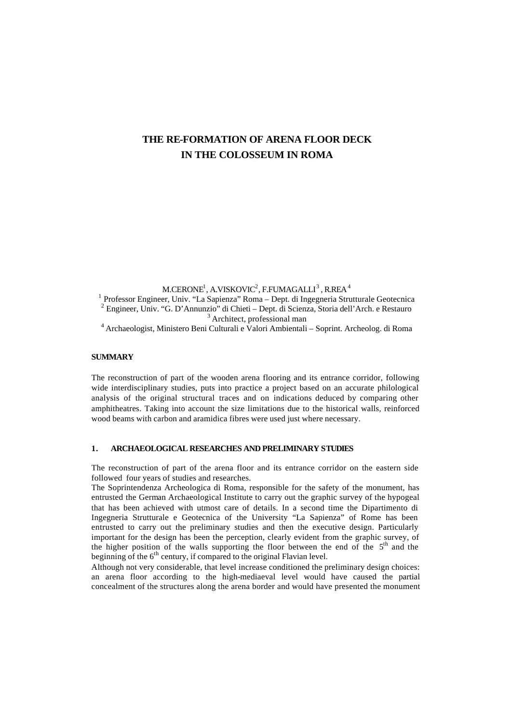# **THE RE-FORMATION OF ARENA FLOOR DECK IN THE COLOSSEUM IN ROMA**

M.CERONE $^{\rm l}$ , A.VISKOVIC $^{\rm 2}$ , F.FUMAGALLI $^{\rm 3}$  , R.REA  $^{\rm 4}$ 

<sup>1</sup> Professor Engineer, Univ. "La Sapienza" Roma – Dept. di Ingegneria Strutturale Geotecnica 2 Engineer, Univ. "G. D'Annunzio" di Chieti – Dept. di Scienza, Storia dell'Arch. e Restauro <sup>3</sup> Architect, professional man

<sup>4</sup>Archaeologist, Ministero Beni Culturali e Valori Ambientali – Soprint. Archeolog. di Roma

## **SUMMARY**

The reconstruction of part of the wooden arena flooring and its entrance corridor, following wide interdisciplinary studies, puts into practice a project based on an accurate philological analysis of the original structural traces and on indications deduced by comparing other amphitheatres. Taking into account the size limitations due to the historical walls, reinforced wood beams with carbon and aramidica fibres were used just where necessary.

#### **1. ARCHAEOLOGICAL RESEARCHES AND PRELIMINARY STUDIES**

The reconstruction of part of the arena floor and its entrance corridor on the eastern side followed four years of studies and researches.

The Soprintendenza Archeologica di Roma, responsible for the safety of the monument, has entrusted the German Archaeological Institute to carry out the graphic survey of the hypogeal that has been achieved with utmost care of details. In a second time the Dipartimento di Ingegneria Strutturale e Geotecnica of the University "La Sapienza" of Rome has been entrusted to carry out the preliminary studies and then the executive design. Particularly important for the design has been the perception, clearly evident from the graphic survey, of the higher position of the walls supporting the floor between the end of the  $5<sup>th</sup>$  and the beginning of the  $6<sup>th</sup>$  century, if compared to the original Flavian level.

Although not very considerable, that level increase conditioned the preliminary design choices: an arena floor according to the high-mediaeval level would have caused the partial concealment of the structures along the arena border and would have presented the monument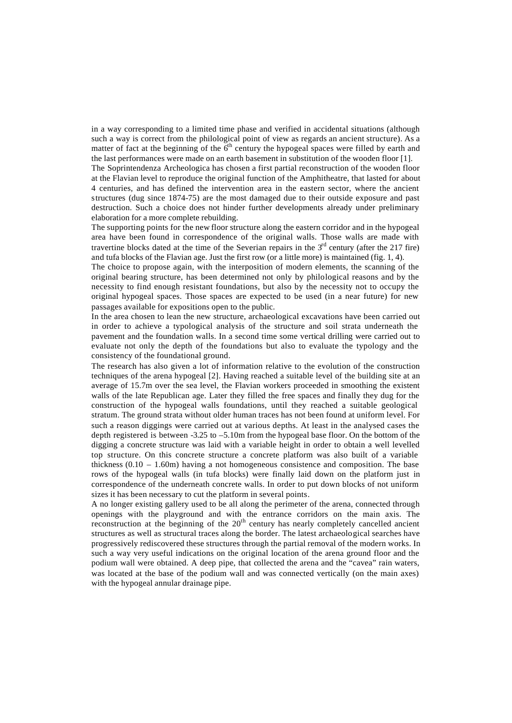in a way corresponding to a limited time phase and verified in accidental situations (although such a way is correct from the philological point of view as regards an ancient structure). As a matter of fact at the beginning of the  $6<sup>th</sup>$  century the hypogeal spaces were filled by earth and the last performances were made on an earth basement in substitution of the wooden floor [1].

The Soprintendenza Archeologica has chosen a first partial reconstruction of the wooden floor at the Flavian level to reproduce the original function of the Amphitheatre, that lasted for about 4 centuries, and has defined the intervention area in the eastern sector, where the ancient structures (dug since 1874-75) are the most damaged due to their outside exposure and past destruction. Such a choice does not hinder further developments already under preliminary elaboration for a more complete rebuilding.

The supporting points for the new floor structure along the eastern corridor and in the hypogeal area have been found in correspondence of the original walls. Those walls are made with travertine blocks dated at the time of the Severian repairs in the  $3<sup>rd</sup>$  century (after the 217 fire) and tufa blocks of the Flavian age. Just the first row (or a little more) is maintained (fig. 1, 4).

The choice to propose again, with the interposition of modern elements, the scanning of the original bearing structure, has been determined not only by philological reasons and by the necessity to find enough resistant foundations, but also by the necessity not to occupy the original hypogeal spaces. Those spaces are expected to be used (in a near future) for new passages available for expositions open to the public.

In the area chosen to lean the new structure, archaeological excavations have been carried out in order to achieve a typological analysis of the structure and soil strata underneath the pavement and the foundation walls. In a second time some vertical drilling were carried out to evaluate not only the depth of the foundations but also to evaluate the typology and the consistency of the foundational ground.

The research has also given a lot of information relative to the evolution of the construction techniques of the arena hypogeal [2]. Having reached a suitable level of the building site at an average of 15.7m over the sea level, the Flavian workers proceeded in smoothing the existent walls of the late Republican age. Later they filled the free spaces and finally they dug for the construction of the hypogeal walls foundations, until they reached a suitable geological stratum. The ground strata without older human traces has not been found at uniform level. For such a reason diggings were carried out at various depths. At least in the analysed cases the depth registered is between -3.25 to –5.10m from the hypogeal base floor. On the bottom of the digging a concrete structure was laid with a variable height in order to obtain a well levelled top structure. On this concrete structure a concrete platform was also built of a variable thickness  $(0.10 - 1.60m)$  having a not homogeneous consistence and composition. The base rows of the hypogeal walls (in tufa blocks) were finally laid down on the platform just in correspondence of the underneath concrete walls. In order to put down blocks of not uniform sizes it has been necessary to cut the platform in several points*.* 

A no longer existing gallery used to be all along the perimeter of the arena, connected through openings with the playground and with the entrance corridors on the main axis. The reconstruction at the beginning of the  $20<sup>th</sup>$  century has nearly completely cancelled ancient structures as well as structural traces along the border. The latest archaeological searches have progressively rediscovered these structures through the partial removal of the modern works. In such a way very useful indications on the original location of the arena ground floor and the podium wall were obtained. A deep pipe, that collected the arena and the "cavea" rain waters, was located at the base of the podium wall and was connected vertically (on the main axes) with the hypogeal annular drainage pipe.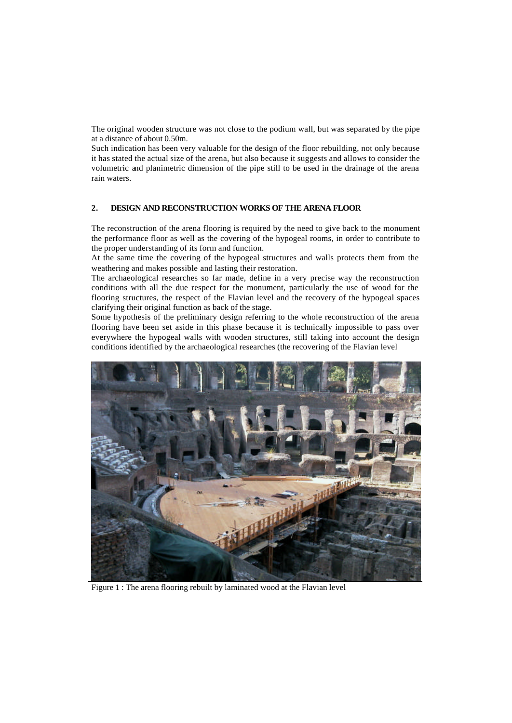The original wooden structure was not close to the podium wall, but was separated by the pipe at a distance of about 0.50m.

Such indication has been very valuable for the design of the floor rebuilding, not only because it has stated the actual size of the arena, but also because it suggests and allows to consider the volumetric and planimetric dimension of the pipe still to be used in the drainage of the arena rain waters.

### **2. DESIGN AND RECONSTRUCTION WORKS OF THE ARENA FLOOR**

The reconstruction of the arena flooring is required by the need to give back to the monument the performance floor as well as the covering of the hypogeal rooms, in order to contribute to the proper understanding of its form and function.

At the same time the covering of the hypogeal structures and walls protects them from the weathering and makes possible and lasting their restoration.

The archaeological researches so far made, define in a very precise way the reconstruction conditions with all the due respect for the monument, particularly the use of wood for the flooring structures, the respect of the Flavian level and the recovery of the hypogeal spaces clarifying their original function as back of the stage.

Some hypothesis of the preliminary design referring to the whole reconstruction of the arena flooring have been set aside in this phase because it is technically impossible to pass over everywhere the hypogeal walls with wooden structures, still taking into account the design conditions identified by the archaeological researches (the recovering of the Flavian level



Figure 1 : The arena flooring rebuilt by laminated wood at the Flavian level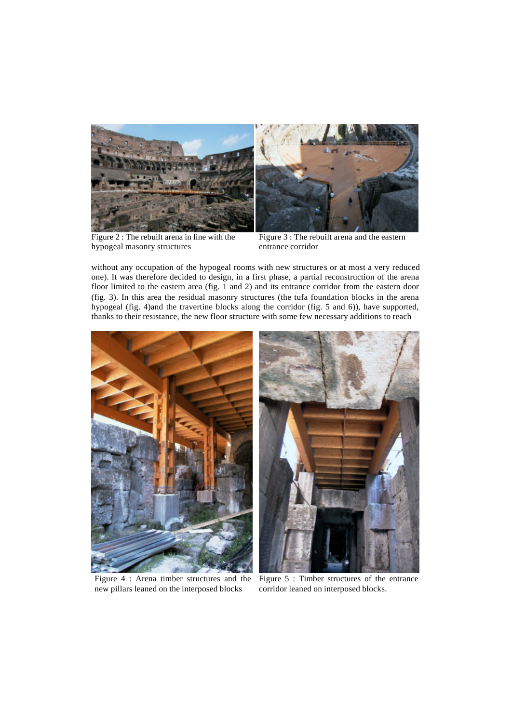

Figure 2 : The rebuilt arena in line with the hypogeal masonry structures



Figure 3 : The rebuilt arena and the eastern entrance corridor

without any occupation of the hypogeal rooms with new structures or at most a very reduced one). It was therefore decided to design, in a first phase, a partial reconstruction of the arena floor limited to the eastern area (fig. 1 and 2) and its entrance corridor from the eastern door (fig. 3). In this area the residual masonry structures (the tufa foundation blocks in the arena hypogeal (fig. 4)and the travertine blocks along the corridor (fig. 5 and 6)), have supported, thanks to their resistance, the new floor structure with some few necessary additions to reach



Figure 4 : Arena timber structures and the new pillars leaned on the interposed blocks



Figure 5 : Timber structures of the entrance corridor leaned on interposed blocks.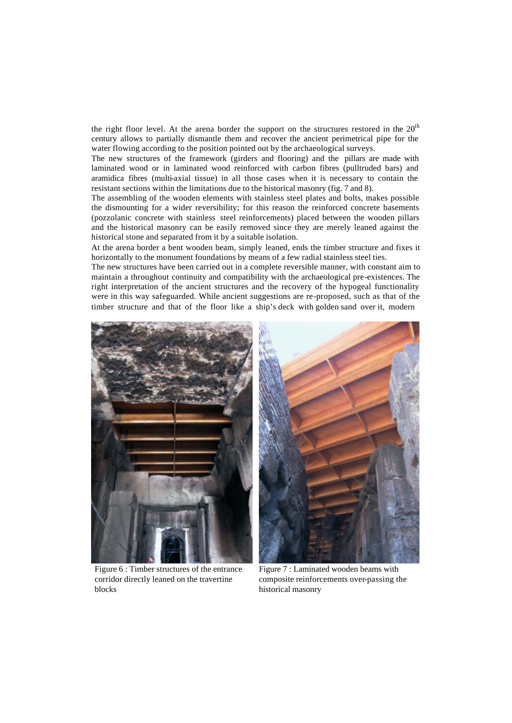the right floor level. At the arena border the support on the structures restored in the  $20<sup>th</sup>$ century allows to partially dismantle them and recover the ancient perimetrical pipe for the water flowing according to the position pointed out by the archaeological surveys.

The new structures of the framework (girders and flooring) and the pillars are made with laminated wood or in laminated wood reinforced with carbon fibres (pulltruded bars) and aramidica fibres (multi-axial tissue) in all those cases when it is necessary to contain the resistant sections within the limitations due to the historical masonry (fig. 7 and 8).

The assembling of the wooden elements with stainless steel plates and bolts, makes possible the dismounting for a wider reversibility; for this reason the reinforced concrete basements (pozzolanic concrete with stainless steel reinforcements) placed between the wooden pillars and the historical masonry can be easily removed since they are merely leaned against the historical stone and separated from it by a suitable isolation.

At the arena border a bent wooden beam, simply leaned, ends the timber structure and fixes it horizontally to the monument foundations by means of a few radial stainless steel ties.

The new structures have been carried out in a complete reversible manner, with constant aim to maintain a throughout continuity and compatibility with the archaeological pre-existences. The right interpretation of the ancient structures and the recovery of the hypogeal functionality were in this way safeguarded. While ancient suggestions are re-proposed, such as that of the timber structure and that of the floor like a ship's deck with golden sand over it, modern



Figure 6 : Timber structures of the entrance corridor directly leaned on the travertine blocks

Figure 7 : Laminated wooden beams with composite reinforcements over-passing the historical masonry